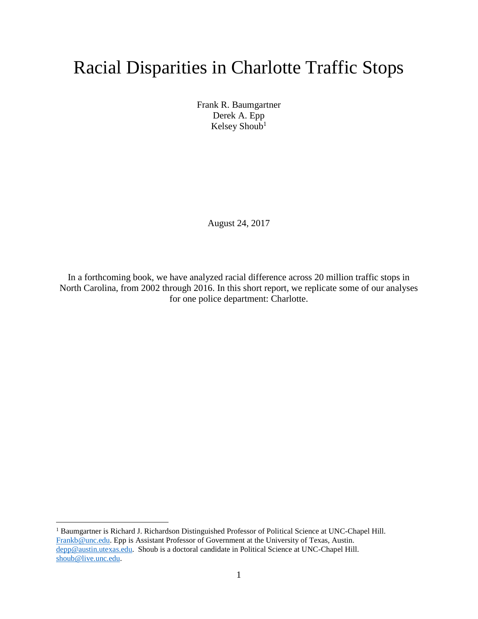## Racial Disparities in Charlotte Traffic Stops

Frank R. Baumgartner Derek A. Epp Kelsey Shoub<sup>1</sup>

August 24, 2017

In a forthcoming book, we have analyzed racial difference across 20 million traffic stops in North Carolina, from 2002 through 2016. In this short report, we replicate some of our analyses for one police department: Charlotte.

<sup>1</sup> Baumgartner is Richard J. Richardson Distinguished Professor of Political Science at UNC-Chapel Hill. [Frankb@unc.edu.](mailto:Frankb@unc.edu) Epp is Assistant Professor of Government at the University of Texas, Austin. [depp@austin.utexas.edu.](mailto:depp@austin.utexas.edu) Shoub is a doctoral candidate in Political Science at UNC-Chapel Hill. [shoub@live.unc.edu.](mailto:shoub@live.unc.edu)

 $\overline{a}$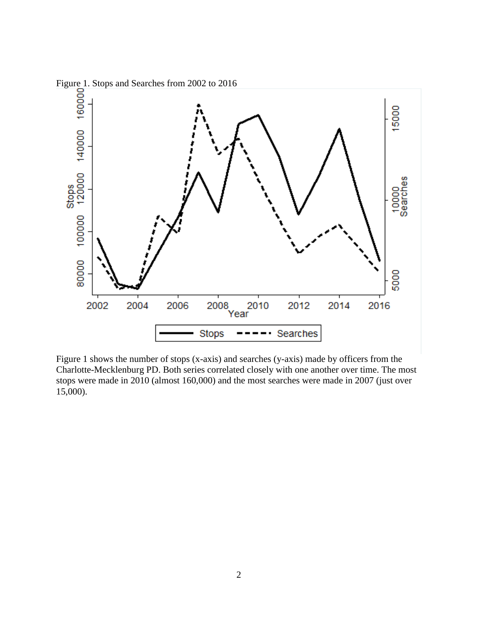

Figure 1 shows the number of stops (x-axis) and searches (y-axis) made by officers from the Charlotte-Mecklenburg PD. Both series correlated closely with one another over time. The most stops were made in 2010 (almost 160,000) and the most searches were made in 2007 (just over 15,000).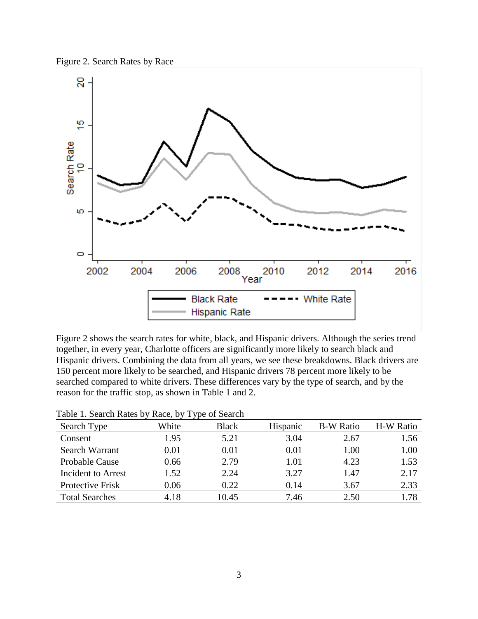



Figure 2 shows the search rates for white, black, and Hispanic drivers. Although the series trend together, in every year, Charlotte officers are significantly more likely to search black and Hispanic drivers. Combining the data from all years, we see these breakdowns. Black drivers are 150 percent more likely to be searched, and Hispanic drivers 78 percent more likely to be searched compared to white drivers. These differences vary by the type of search, and by the reason for the traffic stop, as shown in Table 1 and 2.

|                       |       | <u>JI</u>    |          |                  |           |
|-----------------------|-------|--------------|----------|------------------|-----------|
| Search Type           | White | <b>Black</b> | Hispanic | <b>B-W Ratio</b> | H-W Ratio |
| Consent               | 1.95  | 5.21         | 3.04     | 2.67             | 1.56      |
| Search Warrant        | 0.01  | 0.01         | 0.01     | 1.00             | 1.00      |
| <b>Probable Cause</b> | 0.66  | 2.79         | 1.01     | 4.23             | 1.53      |
| Incident to Arrest    | 1.52  | 2.24         | 3.27     | 1.47             | 2.17      |
| Protective Frisk      | 0.06  | 0.22         | 0.14     | 3.67             | 2.33      |
| <b>Total Searches</b> | 4.18  | 10.45        | 7.46     | 2.50             | 1.78      |
|                       |       |              |          |                  |           |

| Table 1. Search Rates by Race, by Type of Search |  |  |  |  |  |  |  |  |  |  |
|--------------------------------------------------|--|--|--|--|--|--|--|--|--|--|
|--------------------------------------------------|--|--|--|--|--|--|--|--|--|--|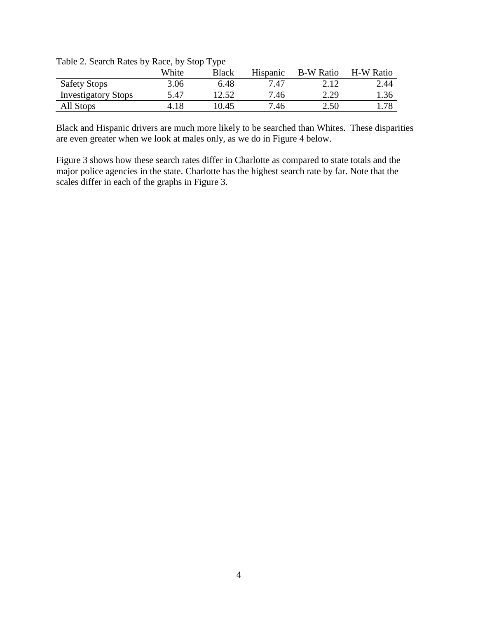| Table 2. Search Rates by Race, by Stop Type |
|---------------------------------------------|
|---------------------------------------------|

|                            | White | <b>Black</b> | Hispanic | <b>B-W Ratio</b> | <b>H-W Ratio</b> |
|----------------------------|-------|--------------|----------|------------------|------------------|
| <b>Safety Stops</b>        | 3.06  | 6.48         | 7.47     | 2.12             | 2.44             |
| <b>Investigatory Stops</b> | 5.47  | 12.52        | 7.46     | 2.29             | 1.36             |
| All Stops                  | 4.18  | 10.45        | 7.46     | 2.50             | .78              |

Black and Hispanic drivers are much more likely to be searched than Whites. These disparities are even greater when we look at males only, as we do in Figure 4 below.

Figure 3 shows how these search rates differ in Charlotte as compared to state totals and the major police agencies in the state. Charlotte has the highest search rate by far. Note that the scales differ in each of the graphs in Figure 3.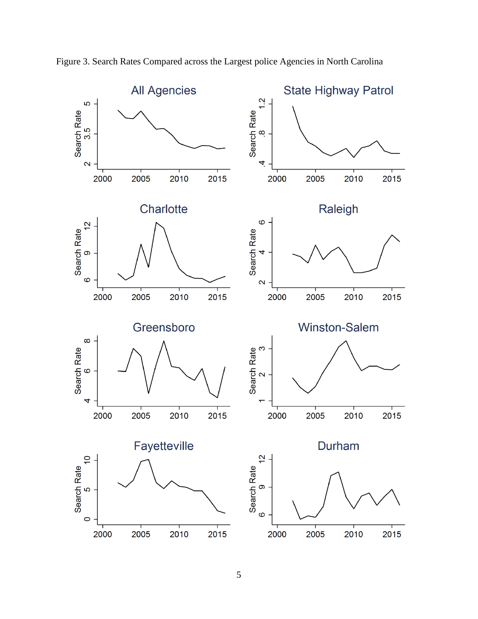

Figure 3. Search Rates Compared across the Largest police Agencies in North Carolina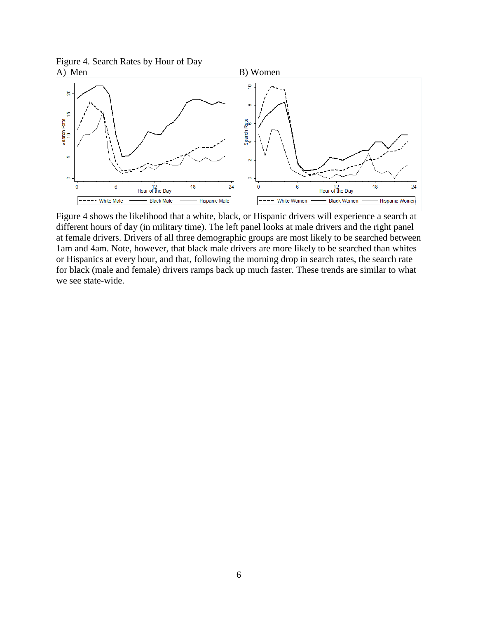Figure 4. Search Rates by Hour of Day A) Men B) Women



Figure 4 shows the likelihood that a white, black, or Hispanic drivers will experience a search at different hours of day (in military time). The left panel looks at male drivers and the right panel at female drivers. Drivers of all three demographic groups are most likely to be searched between 1am and 4am. Note, however, that black male drivers are more likely to be searched than whites or Hispanics at every hour, and that, following the morning drop in search rates, the search rate for black (male and female) drivers ramps back up much faster. These trends are similar to what we see state-wide.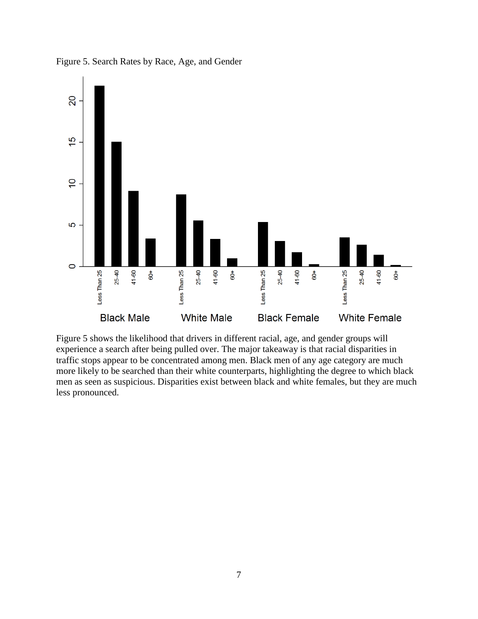

Figure 5. Search Rates by Race, Age, and Gender

Figure 5 shows the likelihood that drivers in different racial, age, and gender groups will experience a search after being pulled over. The major takeaway is that racial disparities in traffic stops appear to be concentrated among men. Black men of any age category are much more likely to be searched than their white counterparts, highlighting the degree to which black men as seen as suspicious. Disparities exist between black and white females, but they are much less pronounced.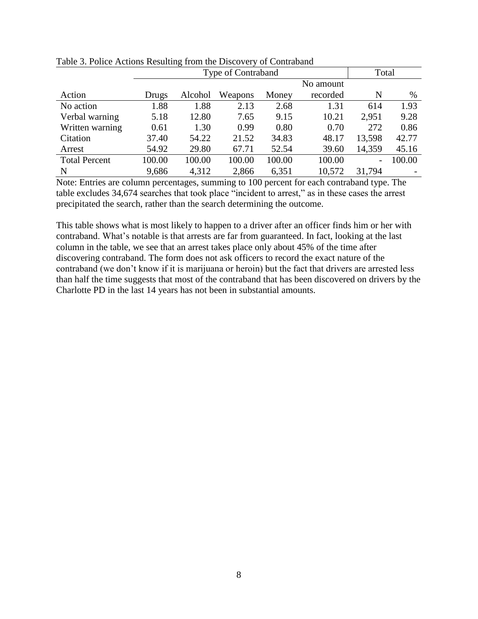|                      | Type of Contraband |         |         |        |           | Total                    |        |
|----------------------|--------------------|---------|---------|--------|-----------|--------------------------|--------|
|                      |                    |         |         |        | No amount |                          |        |
| Action               | Drugs              | Alcohol | Weapons | Money  | recorded  | N                        | $\%$   |
| No action            | 1.88               | 1.88    | 2.13    | 2.68   | 1.31      | 614                      | 1.93   |
| Verbal warning       | 5.18               | 12.80   | 7.65    | 9.15   | 10.21     | 2,951                    | 9.28   |
| Written warning      | 0.61               | 1.30    | 0.99    | 0.80   | 0.70      | 272                      | 0.86   |
| Citation             | 37.40              | 54.22   | 21.52   | 34.83  | 48.17     | 13,598                   | 42.77  |
| Arrest               | 54.92              | 29.80   | 67.71   | 52.54  | 39.60     | 14,359                   | 45.16  |
| <b>Total Percent</b> | 100.00             | 100.00  | 100.00  | 100.00 | 100.00    | $\overline{\phantom{a}}$ | 100.00 |
| N                    | 9,686              | 4,312   | 2,866   | 6,351  | 10,572    | 31,794                   |        |

Table 3. Police Actions Resulting from the Discovery of Contraband

Note: Entries are column percentages, summing to 100 percent for each contraband type. The table excludes 34,674 searches that took place "incident to arrest," as in these cases the arrest precipitated the search, rather than the search determining the outcome.

This table shows what is most likely to happen to a driver after an officer finds him or her with contraband. What's notable is that arrests are far from guaranteed. In fact, looking at the last column in the table, we see that an arrest takes place only about 45% of the time after discovering contraband. The form does not ask officers to record the exact nature of the contraband (we don't know if it is marijuana or heroin) but the fact that drivers are arrested less than half the time suggests that most of the contraband that has been discovered on drivers by the Charlotte PD in the last 14 years has not been in substantial amounts.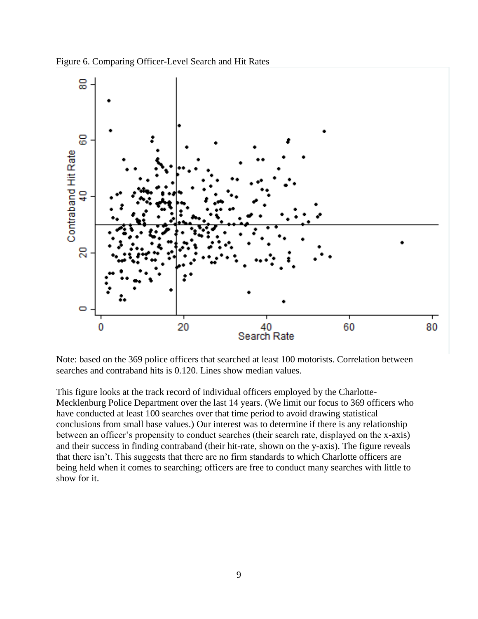



Note: based on the 369 police officers that searched at least 100 motorists. Correlation between searches and contraband hits is 0.120. Lines show median values.

This figure looks at the track record of individual officers employed by the Charlotte-Mecklenburg Police Department over the last 14 years. (We limit our focus to 369 officers who have conducted at least 100 searches over that time period to avoid drawing statistical conclusions from small base values.) Our interest was to determine if there is any relationship between an officer's propensity to conduct searches (their search rate, displayed on the x-axis) and their success in finding contraband (their hit-rate, shown on the y-axis). The figure reveals that there isn't. This suggests that there are no firm standards to which Charlotte officers are being held when it comes to searching; officers are free to conduct many searches with little to show for it.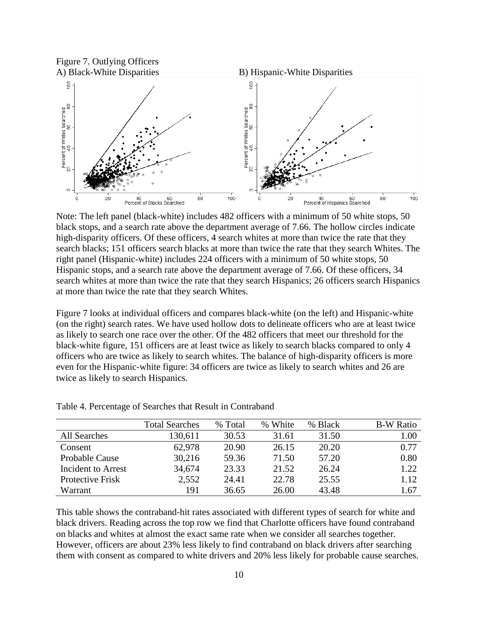

Note: The left panel (black-white) includes 482 officers with a minimum of 50 white stops, 50 black stops, and a search rate above the department average of 7.66. The hollow circles indicate high-disparity officers. Of these officers, 4 search whites at more than twice the rate that they search blacks; 151 officers search blacks at more than twice the rate that they search Whites. The right panel (Hispanic-white) includes 224 officers with a minimum of 50 white stops, 50 Hispanic stops, and a search rate above the department average of 7.66. Of these officers, 34 search whites at more than twice the rate that they search Hispanics; 26 officers search Hispanics at more than twice the rate that they search Whites.

Figure 7 looks at individual officers and compares black-white (on the left) and Hispanic-white (on the right) search rates. We have used hollow dots to delineate officers who are at least twice as likely to search one race over the other. Of the 482 officers that meet our threshold for the black-white figure, 151 officers are at least twice as likely to search blacks compared to only 4 officers who are twice as likely to search whites. The balance of high-disparity officers is more even for the Hispanic-white figure: 34 officers are twice as likely to search whites and 26 are twice as likely to search Hispanics.

|                         | <b>Total Searches</b> | % Total | % White | % Black | <b>B-W Ratio</b> |
|-------------------------|-----------------------|---------|---------|---------|------------------|
| All Searches            | 130,611               | 30.53   | 31.61   | 31.50   | 1.00             |
| Consent                 | 62,978                | 20.90   | 26.15   | 20.20   | 0.77             |
| <b>Probable Cause</b>   | 30,216                | 59.36   | 71.50   | 57.20   | 0.80             |
| Incident to Arrest      | 34,674                | 23.33   | 21.52   | 26.24   | 1.22             |
| <b>Protective Frisk</b> | 2,552                 | 24.41   | 22.78   | 25.55   | 1.12             |
| Warrant                 | 191                   | 36.65   | 26.00   | 43.48   | 1.67             |

Table 4. Percentage of Searches that Result in Contraband

This table shows the contraband-hit rates associated with different types of search for white and black drivers. Reading across the top row we find that Charlotte officers have found contraband on blacks and whites at almost the exact same rate when we consider all searches together. However, officers are about 23% less likely to find contraband on black drivers after searching them with consent as compared to white drivers and 20% less likely for probable cause searches.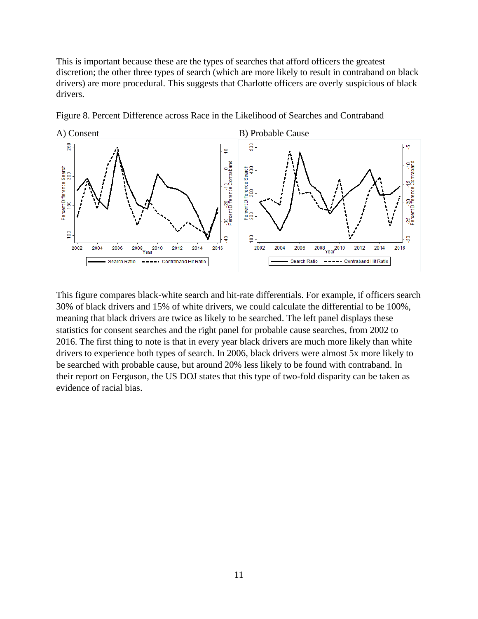This is important because these are the types of searches that afford officers the greatest discretion; the other three types of search (which are more likely to result in contraband on black drivers) are more procedural. This suggests that Charlotte officers are overly suspicious of black drivers.



Figure 8. Percent Difference across Race in the Likelihood of Searches and Contraband

This figure compares black-white search and hit-rate differentials. For example, if officers search 30% of black drivers and 15% of white drivers, we could calculate the differential to be 100%, meaning that black drivers are twice as likely to be searched. The left panel displays these statistics for consent searches and the right panel for probable cause searches, from 2002 to 2016. The first thing to note is that in every year black drivers are much more likely than white drivers to experience both types of search. In 2006, black drivers were almost 5x more likely to be searched with probable cause, but around 20% less likely to be found with contraband. In their report on Ferguson, the US DOJ states that this type of two-fold disparity can be taken as evidence of racial bias.